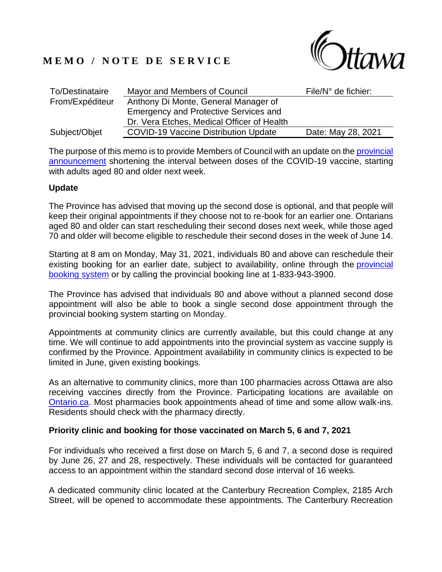## **MEMO / NOTE DE SERVICE**



| To/Destinataire | Mayor and Members of Council                | File/ $N^{\circ}$ de fichier: |
|-----------------|---------------------------------------------|-------------------------------|
| From/Expéditeur | Anthony Di Monte, General Manager of        |                               |
|                 | Emergency and Protective Services and       |                               |
|                 | Dr. Vera Etches, Medical Officer of Health  |                               |
| Subject/Objet   | <b>COVID-19 Vaccine Distribution Update</b> | Date: May 28, 2021            |

The purpose of this memo is to provide Members of Council with an update on the provincial [announcement](https://news.ontario.ca/en/release/1000217/ontario-accelerates-rollout-of-second-shots-targeting-a-two-dose-summer) shortening the interval between doses of the COVID-19 vaccine, starting with adults aged 80 and older next week.

## **Update**

The Province has advised that moving up the second dose is optional, and that people will keep their original appointments if they choose not to re-book for an earlier one. Ontarians aged 80 and older can start rescheduling their second doses next week, while those aged 70 and older will become eligible to reschedule their second doses in the week of June 14.

Starting at 8 am on Monday, May 31, 2021, individuals 80 and above can reschedule their existing booking for an earlier date, subject to availability, online through the [provincial](https://can01.safelinks.protection.outlook.com/?url=https%3A%2F%2Fcovid-19.ontario.ca%2Fbook-vaccine%2F&data=04%7C01%7CRichard.Bruxer%40ottawa.ca%7C7dfa7b2f9d154de13c0c08d91c9bf3ec%7Cdfcc033ddf874c6ea1b88eaa73f1b72e%7C0%7C0%7C637572278394219269%7CUnknown%7CTWFpbGZsb3d8eyJWIjoiMC4wLjAwMDAiLCJQIjoiV2luMzIiLCJBTiI6Ik1haWwiLCJXVCI6Mn0%3D%7C1000&sdata=WcjlUkeLUr277NO29D%2B2Y3U9C3nPGJH0XpgeH9ijKmo%3D&reserved=0) [booking](https://can01.safelinks.protection.outlook.com/?url=https%3A%2F%2Fcovid-19.ontario.ca%2Fbook-vaccine%2F&data=04%7C01%7CRichard.Bruxer%40ottawa.ca%7C7dfa7b2f9d154de13c0c08d91c9bf3ec%7Cdfcc033ddf874c6ea1b88eaa73f1b72e%7C0%7C0%7C637572278394219269%7CUnknown%7CTWFpbGZsb3d8eyJWIjoiMC4wLjAwMDAiLCJQIjoiV2luMzIiLCJBTiI6Ik1haWwiLCJXVCI6Mn0%3D%7C1000&sdata=WcjlUkeLUr277NO29D%2B2Y3U9C3nPGJH0XpgeH9ijKmo%3D&reserved=0) system or by calling the provincial booking line at 1-833-943-3900.

The Province has advised that individuals 80 and above without a planned second dose appointment will also be able to book a single second dose appointment through the provincial booking system starting on Monday.

Appointments at community clinics are currently available, but this could change at any time. We will continue to add appointments into the provincial system as vaccine supply is confirmed by the Province. Appointment availability in community clinics is expected to be limited in June, given existing bookings.

As an alternative to community clinics, more than 100 pharmacies across Ottawa are also receiving vaccines directly from the Province. Participating locations are available on [Ontario.ca.](https://covid-19.ontario.ca/vaccine-locations) Most pharmacies book appointments ahead of time and some allow walk-ins. Residents should check with the pharmacy directly.

## **Priority clinic and booking for those vaccinated on March 5, 6 and 7, 2021**

For individuals who received a first dose on March 5, 6 and 7, a second dose is required by June 26, 27 and 28, respectively. These individuals will be contacted for guaranteed access to an appointment within the standard second dose interval of 16 weeks.

A dedicated community clinic located at the Canterbury Recreation Complex, 2185 Arch Street, will be opened to accommodate these appointments. The Canterbury Recreation